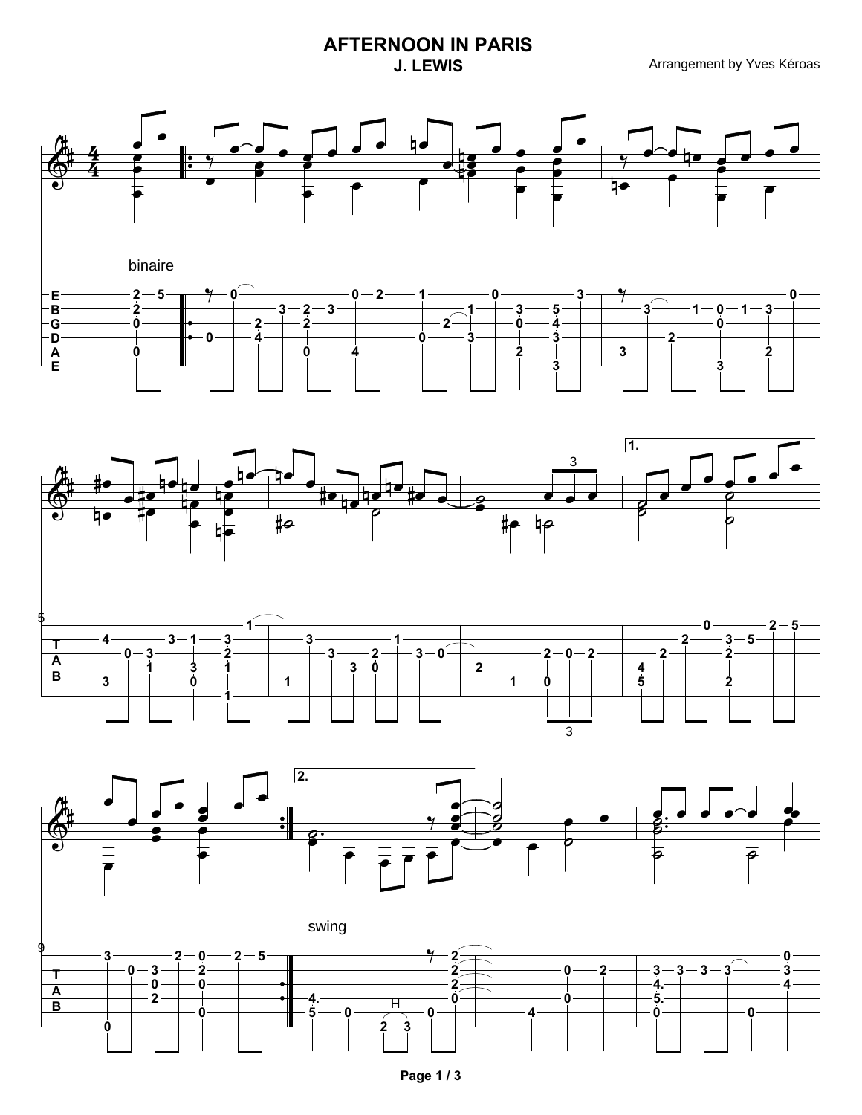## **AFTERNOON IN PARIS**





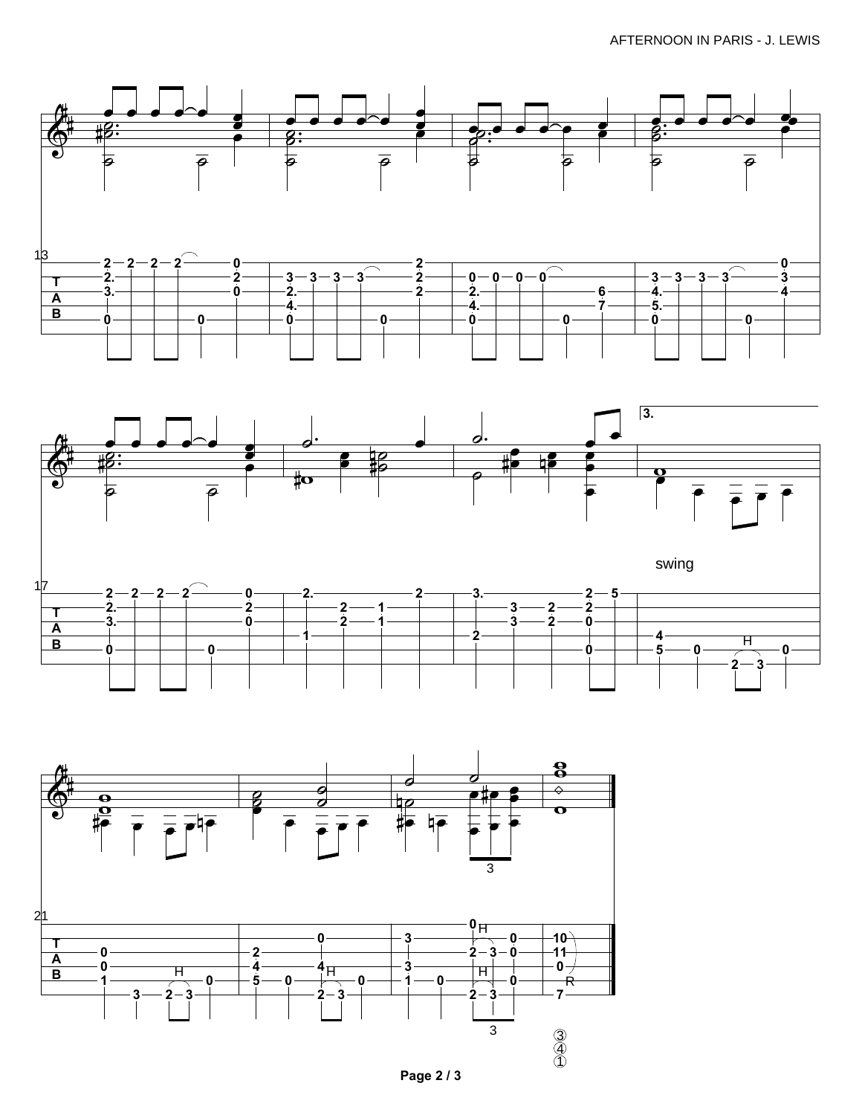